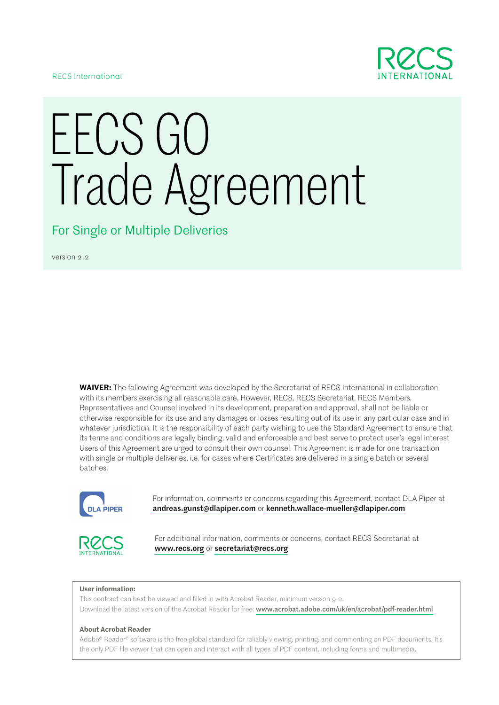

RECS International

# EECS GO Trade Agreement

For Single or Multiple Deliveries

version 2.2

**WAIVER:** The following Agreement was developed by the Secretariat of RECS International in collaboration with its members exercising all reasonable care. However, RECS, RECS Secretariat, RECS Members, Representatives and Counsel involved in its development, preparation and approval, shall not be liable or otherwise responsible for its use and any damages or losses resulting out of its use in any particular case and in whatever jurisdiction. It is the responsibility of each party wishing to use the Standard Agreement to ensure that its terms and conditions are legally binding, valid and enforceable and best serve to protect user's legal interest Users of this Agreement are urged to consult their own counsel. This Agreement is made for one transaction with single or multiple deliveries, i.e. for cases where Certificates are delivered in a single batch or several batches.



For information, comments or concerns regarding this Agreement, contact DLA Piper at andreas.gunst@dlapiper.com or kenneth.wallace-mueller@dlapiper.com



For additional information, comments or concerns, contact RECS Secretariat at www.recs.org or secretariat@recs.org

#### **User information:**

This contract can best be viewed and filled in with Acrobat Reader, minimum version 9.0. Download the latest version of the Acrobat Reader for free: www.acrobat.adobe.com/uk/en/acrobat/pdf-reader.html

#### **About Acrobat Reader**

Adobe® Reader® software is the free global standard for reliably viewing, printing, and commenting on PDF documents. It's the only PDF file viewer that can open and interact with all types of PDF content, including forms and multimedia.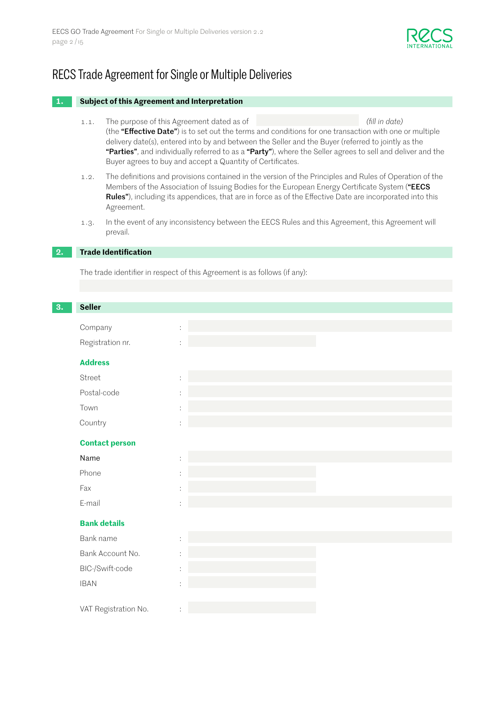

# RECS Trade Agreement for Single or Multiple Deliveries

#### **1. Subject of this Agreement and Interpretation**

- 1.1. The purpose of this Agreement dated as of *(fill in date)* (the "Effective Date") is to set out the terms and conditions for one transaction with one or multiple delivery date(s), entered into by and between the Seller and the Buyer (referred to jointly as the "Parties", and individually referred to as a "Party"), where the Seller agrees to sell and deliver and the Buyer agrees to buy and accept a Quantity of Certificates.
- 1.2. The definitions and provisions contained in the version of the Principles and Rules of Operation of the Members of the Association of Issuing Bodies for the European Energy Certificate System ("EECS Rules"), including its appendices, that are in force as of the Effective Date are incorporated into this Agreement.
- 1.3. In the event of any inconsistency between the EECS Rules and this Agreement, this Agreement will prevail.

# **2. Trade Identification**

The trade identifier in respect of this Agreement is as follows (if any):

| 3. | <b>Seller</b>         |                |
|----|-----------------------|----------------|
|    | Company               | ÷.             |
|    | Registration nr.      | ÷              |
|    |                       |                |
|    | <b>Address</b>        |                |
|    | Street                | ÷              |
|    | Postal-code           |                |
|    | Town                  | $\blacksquare$ |
|    | Country               | t              |
|    | <b>Contact person</b> |                |
|    | Name                  | ÷              |
|    | Phone                 | t              |
|    | Fax                   | t              |
|    | E-mail                | t.             |
|    | <b>Bank details</b>   |                |
|    | Bank name             | ÷.             |
|    | Bank Account No.      | ÷.             |
|    | BIC-/Swift-code       | t              |
|    | <b>IBAN</b>           | t              |
|    |                       |                |
|    | VAT Registration No.  | ÷              |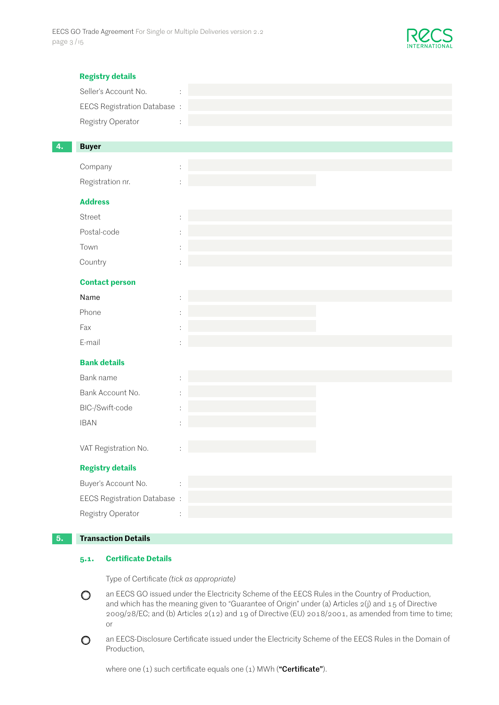

|    | <b>Registry details</b>      |  |
|----|------------------------------|--|
|    | Seller's Account No.         |  |
|    | EECS Registration Database : |  |
|    | Registry Operator            |  |
| 4. | <b>Buyer</b>                 |  |
|    | Company                      |  |
|    | Registration nr.             |  |
|    | <b>Address</b>               |  |
|    | Street                       |  |
|    | Postal-code                  |  |
|    | Town                         |  |
|    | Country                      |  |
|    | <b>Contact person</b>        |  |
|    | Name                         |  |
|    | Phone                        |  |
|    | Fax                          |  |
|    | E-mail                       |  |
|    | <b>Bank details</b>          |  |
|    | Bank name                    |  |
|    | Bank Account No.             |  |
|    | BIC-/Swift-code              |  |
|    | <b>IBAN</b>                  |  |
|    | VAT Registration No.         |  |
|    | <b>Registry details</b>      |  |
|    | Buyer's Account No.          |  |
|    | EECS Registration Database : |  |
|    | Registry Operator            |  |
|    |                              |  |

#### **5. Transaction Details**

## **5.1. Certificate Details**

Type of Certificate *(tick as appropriate)*

- an EECS GO issued under the Electricity Scheme of the EECS Rules in the Country of Production,  $\bigcirc$ and which has the meaning given to "Guarantee of Origin" under (a) Articles 2(j) and 15 of Directive 2009/28/EC; and (b) Articles 2(12) and 19 of Directive (EU) 2018/2001, as amended from time to time; or
- an EECS-Disclosure Certificate issued under the Electricity Scheme of the EECS Rules in the Domain of  $\circ$ Production,

where one  $(1)$  such certificate equals one  $(1)$  MWh ("**Certificate**").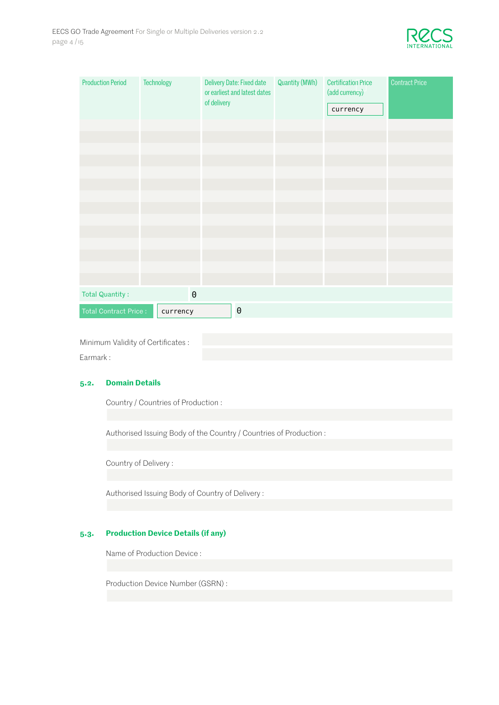

| <b>Production Period</b> | Technology   | Delivery Date: Fixed date<br>or earliest and latest dates<br>of delivery | Quantity (MWh) | <b>Certification Price</b><br>(add currency)<br>currency | <b>Contract Price</b> |
|--------------------------|--------------|--------------------------------------------------------------------------|----------------|----------------------------------------------------------|-----------------------|
|                          |              |                                                                          |                |                                                          |                       |
|                          |              |                                                                          |                |                                                          |                       |
|                          |              |                                                                          |                |                                                          |                       |
|                          |              |                                                                          |                |                                                          |                       |
|                          |              |                                                                          |                |                                                          |                       |
|                          |              |                                                                          |                |                                                          |                       |
|                          |              |                                                                          |                |                                                          |                       |
|                          |              |                                                                          |                |                                                          |                       |
|                          |              |                                                                          |                |                                                          |                       |
|                          |              |                                                                          |                |                                                          |                       |
|                          |              |                                                                          |                |                                                          |                       |
|                          |              |                                                                          |                |                                                          |                       |
|                          |              |                                                                          |                |                                                          |                       |
| Total Quantity:          | $\mathbf{0}$ |                                                                          |                |                                                          |                       |
| Total Contract Price :   | currency     | $\boldsymbol{0}$                                                         |                |                                                          |                       |

Minimum Validity of Certificates :

Earmark :

# **5.2. Domain Details**

Country / Countries of Production :

Authorised Issuing Body of the Country / Countries of Production :

Country of Delivery :

Authorised Issuing Body of Country of Delivery :

# **5.3. Production Device Details (if any)**

Name of Production Device :

Production Device Number (GSRN) :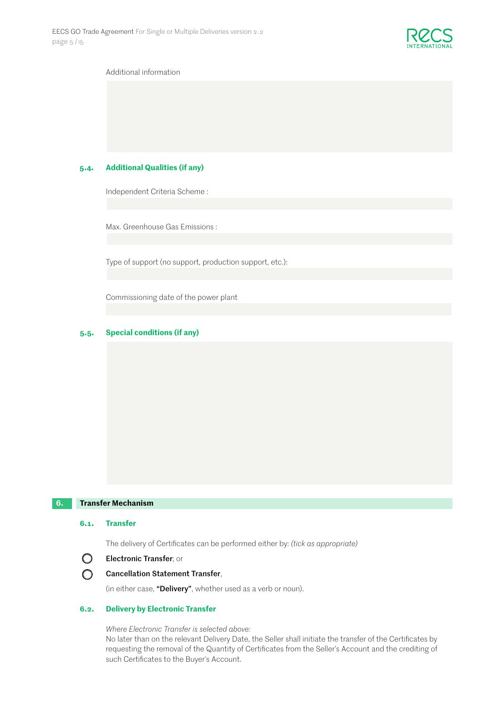

#### Additional information

#### **5.4. Additional Qualities (if any)**

Independent Criteria Scheme :

Max. Greenhouse Gas Emissions :

Type of support (no support, production support, etc.):

Commissioning date of the power plant

#### **5.5. Special conditions (if any)**

### **6. Transfer Mechanism**

#### **6.1. Transfer**

The delivery of Certificates can be performed either by: *(tick as appropriate)*



# Cancellation Statement Transfer,

(in either case, "Delivery", whether used as a verb or noun).

#### **6.2. Delivery by Electronic Transfer**

*Where Electronic Transfer is selected above:*

No later than on the relevant Delivery Date, the Seller shall initiate the transfer of the Certificates by requesting the removal of the Quantity of Certificates from the Seller's Account and the crediting of such Certificates to the Buyer's Account.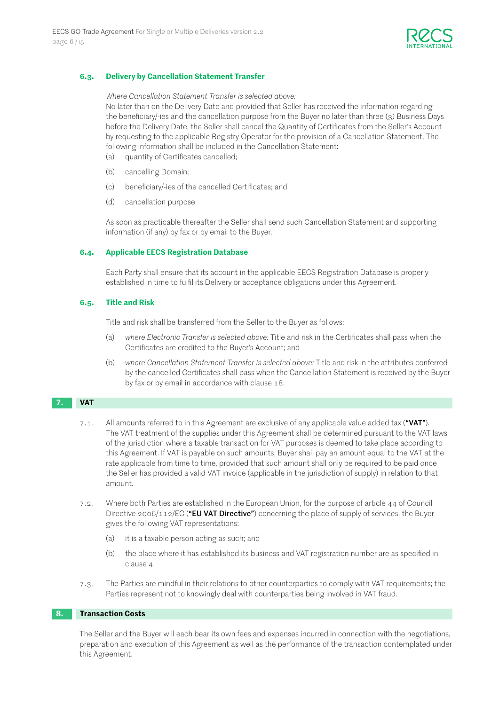

#### **6.3. Delivery by Cancellation Statement Transfer**

#### *Where Cancellation Statement Transfer is selected above:*

 No later than on the Delivery Date and provided that Seller has received the information regarding the beneficiary/-ies and the cancellation purpose from the Buyer no later than three (3) Business Days before the Delivery Date, the Seller shall cancel the Quantity of Certificates from the Seller's Account by requesting to the applicable Registry Operator for the provision of a Cancellation Statement. The following information shall be included in the Cancellation Statement:

- (a) quantity of Certificates cancelled;
- (b) cancelling Domain;
- (c) beneficiary/-ies of the cancelled Certificates; and
- (d) cancellation purpose.

As soon as practicable thereafter the Seller shall send such Cancellation Statement and supporting information (if any) by fax or by email to the Buyer.

#### **6.4. Applicable EECS Registration Database**

Each Party shall ensure that its account in the applicable EECS Registration Database is properly established in time to fulfil its Delivery or acceptance obligations under this Agreement.

#### **6.5. Title and Risk**

Title and risk shall be transferred from the Seller to the Buyer as follows:

- (a) *where Electronic Transfer is selected above:* Title and risk in the Certificates shall pass when the Certificates are credited to the Buyer's Account; and
- (b) *where Cancellation Statement Transfer is selected above:* Title and risk in the attributes conferred by the cancelled Certificates shall pass when the Cancellation Statement is received by the Buyer by fax or by email in accordance with clause 18.

# **VAT**

- 7.1. All amounts referred to in this Agreement are exclusive of any applicable value added tax ("VAT"). The VAT treatment of the supplies under this Agreement shall be determined pursuant to the VAT laws of the jurisdiction where a taxable transaction for VAT purposes is deemed to take place according to this Agreement. If VAT is payable on such amounts, Buyer shall pay an amount equal to the VAT at the rate applicable from time to time, provided that such amount shall only be required to be paid once the Seller has provided a valid VAT invoice (applicable in the jurisdiction of supply) in relation to that amount.
- 7.2. Where both Parties are established in the European Union, for the purpose of article 44 of Council Directive  $2006/112$ /EC ("EU VAT Directive") concerning the place of supply of services, the Buyer gives the following VAT representations:
	- (a) it is a taxable person acting as such; and
	- (b) the place where it has established its business and VAT registration number are as specified in clause 4.
- 7.3. The Parties are mindful in their relations to other counterparties to comply with VAT requirements; the Parties represent not to knowingly deal with counterparties being involved in VAT fraud.

#### 8. **Transaction Costs**

The Seller and the Buyer will each bear its own fees and expenses incurred in connection with the negotiations, preparation and execution of this Agreement as well as the performance of the transaction contemplated under this Agreement.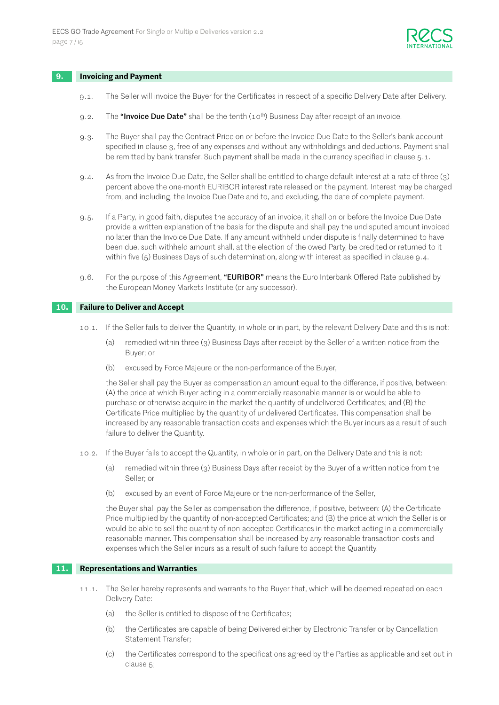

#### **9. Invoicing and Payment**

- 9.1. The Seller will invoice the Buyer for the Certificates in respect of a specific Delivery Date after Delivery.
- 9.2. The "Invoice Due Date" shall be the tenth  $(10^{th})$  Business Day after receipt of an invoice.
- 9.3. The Buyer shall pay the Contract Price on or before the Invoice Due Date to the Seller's bank account specified in clause 3, free of any expenses and without any withholdings and deductions. Payment shall be remitted by bank transfer. Such payment shall be made in the currency specified in clause 5.1.
- 9.4. As from the Invoice Due Date, the Seller shall be entitled to charge default interest at a rate of three (3) percent above the one-month EURIBOR interest rate released on the payment. Interest may be charged from, and including, the Invoice Due Date and to, and excluding, the date of complete payment.
- 9.5. If a Party, in good faith, disputes the accuracy of an invoice, it shall on or before the Invoice Due Date provide a written explanation of the basis for the dispute and shall pay the undisputed amount invoiced no later than the Invoice Due Date. If any amount withheld under dispute is finally determined to have been due, such withheld amount shall, at the election of the owed Party, be credited or returned to it within five (5) Business Days of such determination, along with interest as specified in clause 9.4.
- 9.6. For the purpose of this Agreement, "**EURIBOR**" means the Euro Interbank Offered Rate published by the European Money Markets Institute (or any successor).

#### **10. Failure to Deliver and Accept**

- 10.1. If the Seller fails to deliver the Quantity, in whole or in part, by the relevant Delivery Date and this is not:
	- (a) remedied within three (3) Business Days after receipt by the Seller of a written notice from the Buyer; or
	- (b) excused by Force Majeure or the non-performance of the Buyer,

the Seller shall pay the Buyer as compensation an amount equal to the difference, if positive, between: (A) the price at which Buyer acting in a commercially reasonable manner is or would be able to purchase or otherwise acquire in the market the quantity of undelivered Certificates; and (B) the Certificate Price multiplied by the quantity of undelivered Certificates. This compensation shall be increased by any reasonable transaction costs and expenses which the Buyer incurs as a result of such failure to deliver the Quantity.

- 10.2. If the Buyer fails to accept the Quantity, in whole or in part, on the Delivery Date and this is not:
	- (a) remedied within three (3) Business Days after receipt by the Buyer of a written notice from the Seller; or
	- (b) excused by an event of Force Majeure or the non-performance of the Seller,

the Buyer shall pay the Seller as compensation the difference, if positive, between: (A) the Certificate Price multiplied by the quantity of non-accepted Certificates; and (B) the price at which the Seller is or would be able to sell the quantity of non-accepted Certificates in the market acting in a commercially reasonable manner. This compensation shall be increased by any reasonable transaction costs and expenses which the Seller incurs as a result of such failure to accept the Quantity.

#### **11. Representations and Warranties**

- 11.1. The Seller hereby represents and warrants to the Buyer that, which will be deemed repeated on each Delivery Date:
	- (a) the Seller is entitled to dispose of the Certificates;
	- (b) the Certificates are capable of being Delivered either by Electronic Transfer or by Cancellation Statement Transfer;
	- (c) the Certificates correspond to the specifications agreed by the Parties as applicable and set out in clause 5;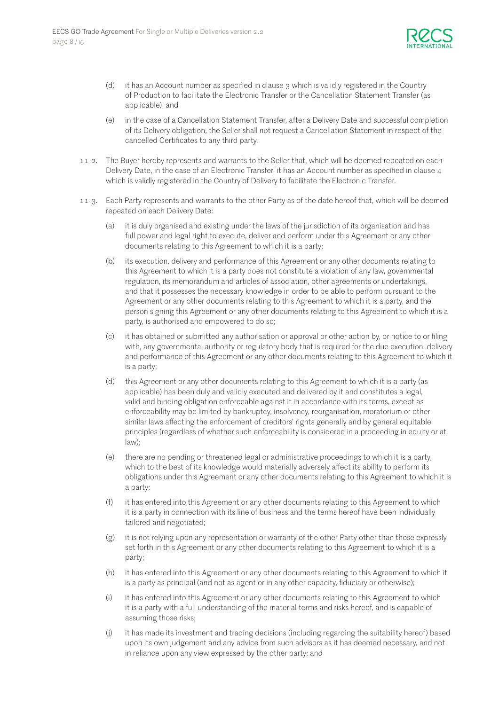

- (d) it has an Account number as specified in clause 3 which is validly registered in the Country of Production to facilitate the Electronic Transfer or the Cancellation Statement Transfer (as applicable); and
- (e) in the case of a Cancellation Statement Transfer, after a Delivery Date and successful completion of its Delivery obligation, the Seller shall not request a Cancellation Statement in respect of the cancelled Certificates to any third party.
- 11.2. The Buyer hereby represents and warrants to the Seller that, which will be deemed repeated on each Delivery Date, in the case of an Electronic Transfer, it has an Account number as specified in clause 4 which is validly registered in the Country of Delivery to facilitate the Electronic Transfer.
- 11.3. Each Party represents and warrants to the other Party as of the date hereof that, which will be deemed repeated on each Delivery Date:
	- (a) it is duly organised and existing under the laws of the jurisdiction of its organisation and has full power and legal right to execute, deliver and perform under this Agreement or any other documents relating to this Agreement to which it is a party;
	- (b) its execution, delivery and performance of this Agreement or any other documents relating to this Agreement to which it is a party does not constitute a violation of any law, governmental regulation, its memorandum and articles of association, other agreements or undertakings, and that it possesses the necessary knowledge in order to be able to perform pursuant to the Agreement or any other documents relating to this Agreement to which it is a party, and the person signing this Agreement or any other documents relating to this Agreement to which it is a party, is authorised and empowered to do so;
	- (c) it has obtained or submitted any authorisation or approval or other action by, or notice to or filing with, any governmental authority or regulatory body that is required for the due execution, delivery and performance of this Agreement or any other documents relating to this Agreement to which it is a party;
	- (d) this Agreement or any other documents relating to this Agreement to which it is a party (as applicable) has been duly and validly executed and delivered by it and constitutes a legal, valid and binding obligation enforceable against it in accordance with its terms, except as enforceability may be limited by bankruptcy, insolvency, reorganisation, moratorium or other similar laws affecting the enforcement of creditors' rights generally and by general equitable principles (regardless of whether such enforceability is considered in a proceeding in equity or at law);
	- (e) there are no pending or threatened legal or administrative proceedings to which it is a party, which to the best of its knowledge would materially adversely affect its ability to perform its obligations under this Agreement or any other documents relating to this Agreement to which it is a party;
	- (f) it has entered into this Agreement or any other documents relating to this Agreement to which it is a party in connection with its line of business and the terms hereof have been individually tailored and negotiated;
	- (g) it is not relying upon any representation or warranty of the other Party other than those expressly set forth in this Agreement or any other documents relating to this Agreement to which it is a party;
	- (h) it has entered into this Agreement or any other documents relating to this Agreement to which it is a party as principal (and not as agent or in any other capacity, fiduciary or otherwise);
	- (i) it has entered into this Agreement or any other documents relating to this Agreement to which it is a party with a full understanding of the material terms and risks hereof, and is capable of assuming those risks;
	- (j) it has made its investment and trading decisions (including regarding the suitability hereof) based upon its own judgement and any advice from such advisors as it has deemed necessary, and not in reliance upon any view expressed by the other party; and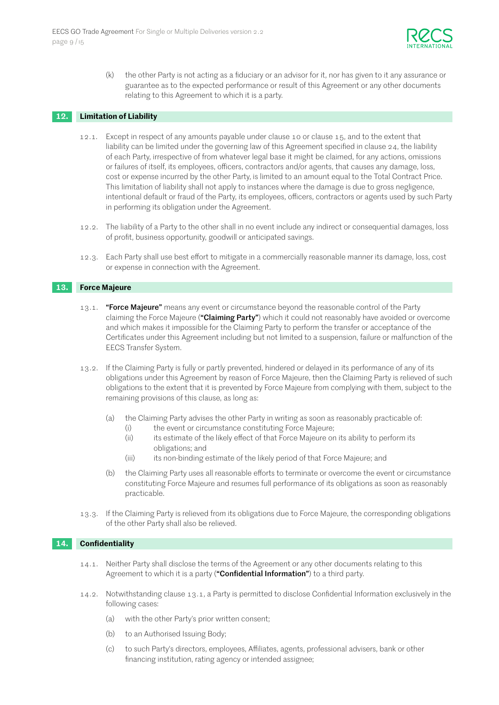

(k) the other Party is not acting as a fiduciary or an advisor for it, nor has given to it any assurance or guarantee as to the expected performance or result of this Agreement or any other documents relating to this Agreement to which it is a party.

#### **12. Limitation of Liability**

- 12.1. Except in respect of any amounts payable under clause 10 or clause 15, and to the extent that liability can be limited under the governing law of this Agreement specified in clause 24, the liability of each Party, irrespective of from whatever legal base it might be claimed, for any actions, omissions or failures of itself, its employees, officers, contractors and/or agents, that causes any damage, loss, cost or expense incurred by the other Party, is limited to an amount equal to the Total Contract Price. This limitation of liability shall not apply to instances where the damage is due to gross negligence, intentional default or fraud of the Party, its employees, officers, contractors or agents used by such Party in performing its obligation under the Agreement.
- 12.2. The liability of a Party to the other shall in no event include any indirect or consequential damages, loss of profit, business opportunity, goodwill or anticipated savings.
- 12.3. Each Party shall use best effort to mitigate in a commercially reasonable manner its damage, loss, cost or expense in connection with the Agreement.

#### **13. Force Majeure**

- 13.1. "Force Majeure" means any event or circumstance beyond the reasonable control of the Party claiming the Force Majeure ("Claiming Party") which it could not reasonably have avoided or overcome and which makes it impossible for the Claiming Party to perform the transfer or acceptance of the Certificates under this Agreement including but not limited to a suspension, failure or malfunction of the EECS Transfer System.
- 13.2. If the Claiming Party is fully or partly prevented, hindered or delayed in its performance of any of its obligations under this Agreement by reason of Force Majeure, then the Claiming Party is relieved of such obligations to the extent that it is prevented by Force Majeure from complying with them, subject to the remaining provisions of this clause, as long as:
	- (a) the Claiming Party advises the other Party in writing as soon as reasonably practicable of:
		- (i) the event or circumstance constituting Force Majeure;
		- (ii) its estimate of the likely effect of that Force Majeure on its ability to perform its obligations; and
		- (iii) its non-binding estimate of the likely period of that Force Majeure; and
	- (b) the Claiming Party uses all reasonable efforts to terminate or overcome the event or circumstance constituting Force Majeure and resumes full performance of its obligations as soon as reasonably practicable.
- 13.3. If the Claiming Party is relieved from its obligations due to Force Majeure, the corresponding obligations of the other Party shall also be relieved.

#### **14. Confidentiality**

- 14.1. Neither Party shall disclose the terms of the Agreement or any other documents relating to this Agreement to which it is a party ("Confidential Information") to a third party.
- 14.2. Notwithstanding clause 13.1, a Party is permitted to disclose Confidential Information exclusively in the following cases:
	- (a) with the other Party's prior written consent;
	- (b) to an Authorised Issuing Body;
	- (c) to such Party's directors, employees, Affiliates, agents, professional advisers, bank or other financing institution, rating agency or intended assignee;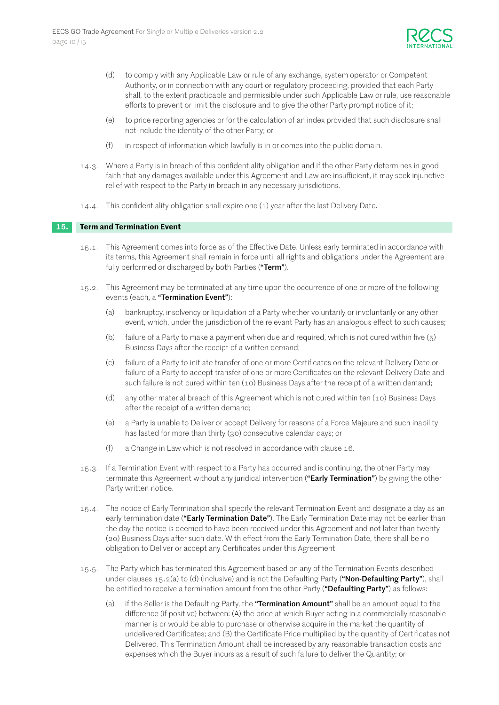

- (d) to comply with any Applicable Law or rule of any exchange, system operator or Competent Authority, or in connection with any court or regulatory proceeding, provided that each Party shall, to the extent practicable and permissible under such Applicable Law or rule, use reasonable efforts to prevent or limit the disclosure and to give the other Party prompt notice of it;
- (e) to price reporting agencies or for the calculation of an index provided that such disclosure shall not include the identity of the other Party; or
- (f) in respect of information which lawfully is in or comes into the public domain.
- 14.3. Where a Party is in breach of this confidentiality obligation and if the other Party determines in good faith that any damages available under this Agreement and Law are insufficient, it may seek injunctive relief with respect to the Party in breach in any necessary jurisdictions.
- 14.4. This confidentiality obligation shall expire one (1) year after the last Delivery Date.

#### **15. Term and Termination Event**

- 15.1. This Agreement comes into force as of the Effective Date. Unless early terminated in accordance with its terms, this Agreement shall remain in force until all rights and obligations under the Agreement are fully performed or discharged by both Parties ("Term").
- 15.2. This Agreement may be terminated at any time upon the occurrence of one or more of the following events (each, a "Termination Event"):
	- (a) bankruptcy, insolvency or liquidation of a Party whether voluntarily or involuntarily or any other event, which, under the jurisdiction of the relevant Party has an analogous effect to such causes;
	- (b) failure of a Party to make a payment when due and required, which is not cured within five (5) Business Days after the receipt of a written demand;
	- (c) failure of a Party to initiate transfer of one or more Certificates on the relevant Delivery Date or failure of a Party to accept transfer of one or more Certificates on the relevant Delivery Date and such failure is not cured within ten (10) Business Days after the receipt of a written demand;
	- (d) any other material breach of this Agreement which is not cured within ten (10) Business Days after the receipt of a written demand;
	- (e) a Party is unable to Deliver or accept Delivery for reasons of a Force Majeure and such inability has lasted for more than thirty (30) consecutive calendar days; or
	- (f) a Change in Law which is not resolved in accordance with clause 16.
- 15.3. If a Termination Event with respect to a Party has occurred and is continuing, the other Party may terminate this Agreement without any juridical intervention ("Early Termination") by giving the other Party written notice.
- 15.4. The notice of Early Termination shall specify the relevant Termination Event and designate a day as an early termination date ("Early Termination Date"). The Early Termination Date may not be earlier than the day the notice is deemed to have been received under this Agreement and not later than twenty (20) Business Days after such date. With effect from the Early Termination Date, there shall be no obligation to Deliver or accept any Certificates under this Agreement.
- 15.5. The Party which has terminated this Agreement based on any of the Termination Events described under clauses  $15.2(a)$  to (d) (inclusive) and is not the Defaulting Party ("Non-Defaulting Party"), shall be entitled to receive a termination amount from the other Party ("Defaulting Party") as follows:
	- (a) if the Seller is the Defaulting Party, the "**Termination Amount**" shall be an amount equal to the difference (if positive) between: (A) the price at which Buyer acting in a commercially reasonable manner is or would be able to purchase or otherwise acquire in the market the quantity of undelivered Certificates; and (B) the Certificate Price multiplied by the quantity of Certificates not Delivered. This Termination Amount shall be increased by any reasonable transaction costs and expenses which the Buyer incurs as a result of such failure to deliver the Quantity; or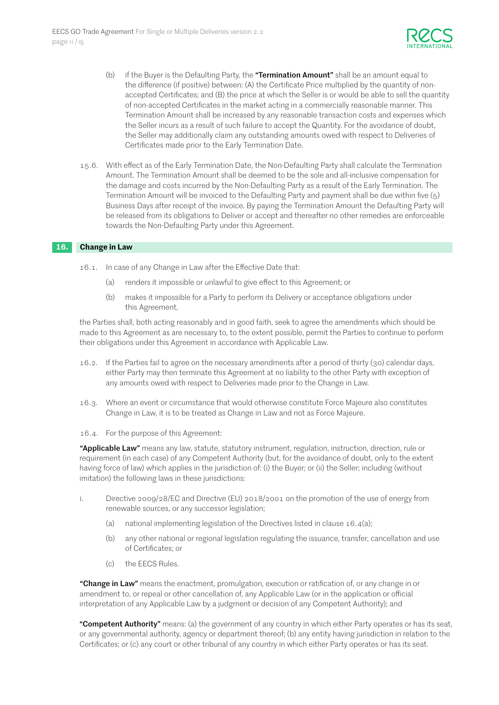

- (b) if the Buyer is the Defaulting Party, the "Termination Amount" shall be an amount equal to the difference (if positive) between: (A) the Certificate Price multiplied by the quantity of nonaccepted Certificates; and (B) the price at which the Seller is or would be able to sell the quantity of non-accepted Certificates in the market acting in a commercially reasonable manner. This Termination Amount shall be increased by any reasonable transaction costs and expenses which the Seller incurs as a result of such failure to accept the Quantity. For the avoidance of doubt, the Seller may additionally claim any outstanding amounts owed with respect to Deliveries of Certificates made prior to the Early Termination Date.
- 15.6. With effect as of the Early Termination Date, the Non-Defaulting Party shall calculate the Termination Amount. The Termination Amount shall be deemed to be the sole and all-inclusive compensation for the damage and costs incurred by the Non-Defaulting Party as a result of the Early Termination. The Termination Amount will be invoiced to the Defaulting Party and payment shall be due within five (5) Business Days after receipt of the invoice. By paying the Termination Amount the Defaulting Party will be released from its obligations to Deliver or accept and thereafter no other remedies are enforceable towards the Non-Defaulting Party under this Agreement.

#### **16. Change in Law**

- 16.1. In case of any Change in Law after the Effective Date that:
	- (a) renders it impossible or unlawful to give effect to this Agreement; or
	- (b) makes it impossible for a Party to perform its Delivery or acceptance obligations under this Agreement,

the Parties shall, both acting reasonably and in good faith, seek to agree the amendments which should be made to this Agreement as are necessary to, to the extent possible, permit the Parties to continue to perform their obligations under this Agreement in accordance with Applicable Law.

- 16.2. If the Parties fail to agree on the necessary amendments after a period of thirty (30) calendar days, either Party may then terminate this Agreement at no liability to the other Party with exception of any amounts owed with respect to Deliveries made prior to the Change in Law.
- 16.3. Where an event or circumstance that would otherwise constitute Force Majeure also constitutes Change in Law, it is to be treated as Change in Law and not as Force Majeure.
- 16.4. For the purpose of this Agreement:

"Applicable Law" means any law, statute, statutory instrument, regulation, instruction, direction, rule or requirement (in each case) of any Competent Authority (but, for the avoidance of doubt, only to the extent having force of law) which applies in the jurisdiction of: (i) the Buyer; or (ii) the Seller; including (without imitation) the following laws in these jurisdictions:

- i. Directive 2009/28/EC and Directive (EU) 2018/2001 on the promotion of the use of energy from renewable sources, or any successor legislation;
	- (a) national implementing legislation of the Directives listed in clause 16.4(a);
	- (b) any other national or regional legislation regulating the issuance, transfer, cancellation and use of Certificates; or
	- (c) the EECS Rules.

"Change in Law" means the enactment, promulgation, execution or ratification of, or any change in or amendment to, or repeal or other cancellation of, any Applicable Law (or in the application or official interpretation of any Applicable Law by a judgment or decision of any Competent Authority); and

"Competent Authority" means: (a) the government of any country in which either Party operates or has its seat, or any governmental authority, agency or department thereof; (b) any entity having jurisdiction in relation to the Certificates; or (c) any court or other tribunal of any country in which either Party operates or has its seat.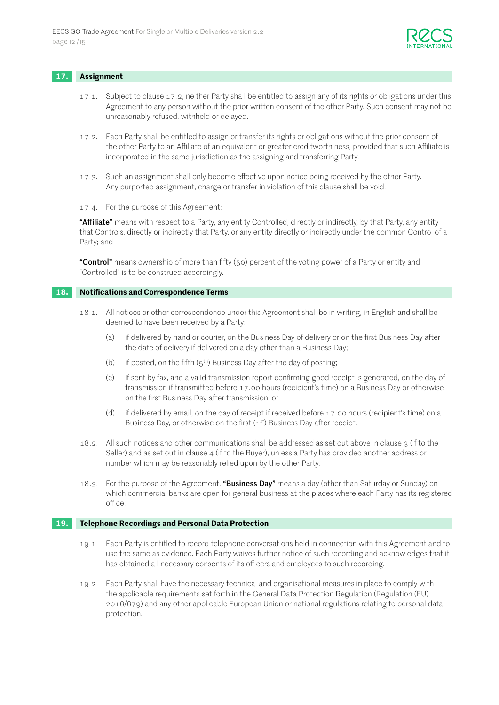

#### **17. Assignment**

- 17.1. Subject to clause 17.2, neither Party shall be entitled to assign any of its rights or obligations under this Agreement to any person without the prior written consent of the other Party. Such consent may not be unreasonably refused, withheld or delayed.
- 17.2. Each Party shall be entitled to assign or transfer its rights or obligations without the prior consent of the other Party to an Affiliate of an equivalent or greater creditworthiness, provided that such Affiliate is incorporated in the same jurisdiction as the assigning and transferring Party.
- 17.3. Such an assignment shall only become effective upon notice being received by the other Party. Any purported assignment, charge or transfer in violation of this clause shall be void.
- 17.4. For the purpose of this Agreement:

"Affiliate" means with respect to a Party, any entity Controlled, directly or indirectly, by that Party, any entity that Controls, directly or indirectly that Party, or any entity directly or indirectly under the common Control of a Party; and

"Control" means ownership of more than fifty (50) percent of the voting power of a Party or entity and "Controlled" is to be construed accordingly.

#### **18. Notifications and Correspondence Terms**

- 18.1. All notices or other correspondence under this Agreement shall be in writing, in English and shall be deemed to have been received by a Party:
	- (a) if delivered by hand or courier, on the Business Day of delivery or on the first Business Day after the date of delivery if delivered on a day other than a Business Day;
	- (b) if posted, on the fifth  $(5<sup>th</sup>)$  Business Day after the day of posting;
	- (c) if sent by fax, and a valid transmission report confirming good receipt is generated, on the day of transmission if transmitted before 17.00 hours (recipient's time) on a Business Day or otherwise on the first Business Day after transmission; or
	- (d) if delivered by email, on the day of receipt if received before 17.00 hours (recipient's time) on a Business Day, or otherwise on the first  $(1<sup>st</sup>)$  Business Day after receipt.
- 18.2. All such notices and other communications shall be addressed as set out above in clause 3 (if to the Seller) and as set out in clause 4 (if to the Buyer), unless a Party has provided another address or number which may be reasonably relied upon by the other Party.
- 18.3. For the purpose of the Agreement, "Business Day" means a day (other than Saturday or Sunday) on which commercial banks are open for general business at the places where each Party has its registered office.

#### **19. Telephone Recordings and Personal Data Protection**

- 19.1 Each Party is entitled to record telephone conversations held in connection with this Agreement and to use the same as evidence. Each Party waives further notice of such recording and acknowledges that it has obtained all necessary consents of its officers and employees to such recording.
- 19.2 Each Party shall have the necessary technical and organisational measures in place to comply with the applicable requirements set forth in the General Data Protection Regulation (Regulation (EU) 2016/679) and any other applicable European Union or national regulations relating to personal data protection.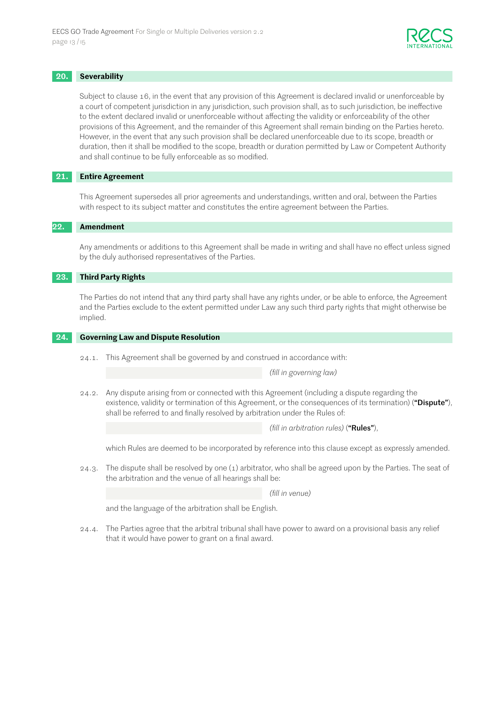

#### **20. Severability**

Subject to clause 16, in the event that any provision of this Agreement is declared invalid or unenforceable by a court of competent jurisdiction in any jurisdiction, such provision shall, as to such jurisdiction, be ineffective to the extent declared invalid or unenforceable without affecting the validity or enforceability of the other provisions of this Agreement, and the remainder of this Agreement shall remain binding on the Parties hereto. However, in the event that any such provision shall be declared unenforceable due to its scope, breadth or duration, then it shall be modified to the scope, breadth or duration permitted by Law or Competent Authority and shall continue to be fully enforceable as so modified.

#### **21. Entire Agreement**

This Agreement supersedes all prior agreements and understandings, written and oral, between the Parties with respect to its subject matter and constitutes the entire agreement between the Parties.

#### **22. Amendment**

Any amendments or additions to this Agreement shall be made in writing and shall have no effect unless signed by the duly authorised representatives of the Parties.

#### **23. Third Party Rights**

The Parties do not intend that any third party shall have any rights under, or be able to enforce, the Agreement and the Parties exclude to the extent permitted under Law any such third party rights that might otherwise be implied.

#### **24. Governing Law and Dispute Resolution**

24.1. This Agreement shall be governed by and construed in accordance with:

*(fill in governing law)*

24.2. Any dispute arising from or connected with this Agreement (including a dispute regarding the existence, validity or termination of this Agreement, or the consequences of its termination) ("Dispute"), shall be referred to and finally resolved by arbitration under the Rules of:

*(fill in arbitration rules)* ("Rules"),

which Rules are deemed to be incorporated by reference into this clause except as expressly amended.

24.3. The dispute shall be resolved by one (1) arbitrator, who shall be agreed upon by the Parties. The seat of the arbitration and the venue of all hearings shall be:

*(fill in venue)*

and the language of the arbitration shall be English.

24.4. The Parties agree that the arbitral tribunal shall have power to award on a provisional basis any relief that it would have power to grant on a final award.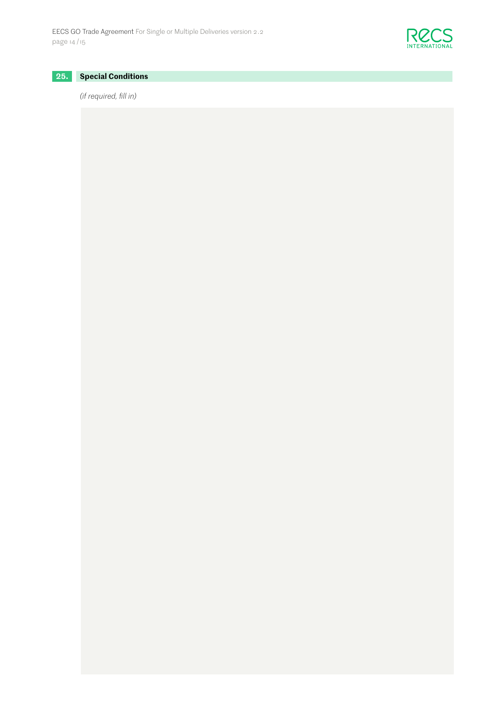

# **25. Special Conditions**

# *(if required, fill in)*